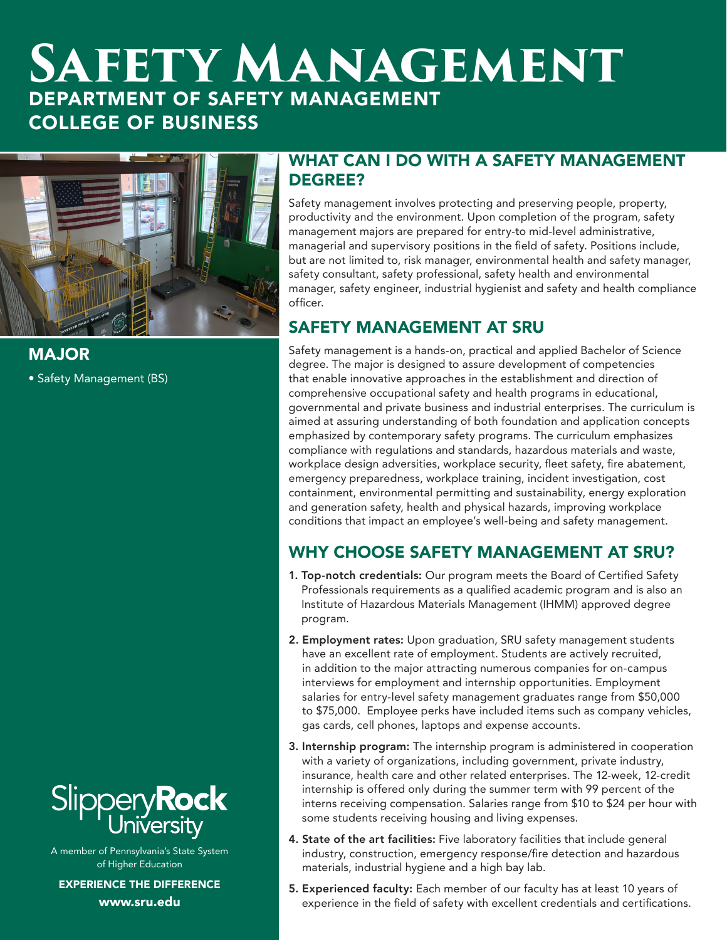# **Safety Management** DEPARTMENT OF SAFETY MANAGEMENT COLLEGE OF BUSINESS



MAJOR

• Safety Management (BS)



A member of Pennsylvania's State System of Higher Education

EXPERIENCE THE DIFFERENCE www.sru.edu

#### WHAT CAN I DO WITH A SAFETY MANAGEMENT DEGREE?

Safety management involves protecting and preserving people, property, productivity and the environment. Upon completion of the program, safety management majors are prepared for entry-to mid-level administrative, managerial and supervisory positions in the field of safety. Positions include, but are not limited to, risk manager, environmental health and safety manager, safety consultant, safety professional, safety health and environmental manager, safety engineer, industrial hygienist and safety and health compliance officer.

# SAFETY MANAGEMENT AT SRU

Safety management is a hands-on, practical and applied Bachelor of Science degree. The major is designed to assure development of competencies that enable innovative approaches in the establishment and direction of comprehensive occupational safety and health programs in educational, governmental and private business and industrial enterprises. The curriculum is aimed at assuring understanding of both foundation and application concepts emphasized by contemporary safety programs. The curriculum emphasizes compliance with regulations and standards, hazardous materials and waste, workplace design adversities, workplace security, fleet safety, fire abatement, emergency preparedness, workplace training, incident investigation, cost containment, environmental permitting and sustainability, energy exploration and generation safety, health and physical hazards, improving workplace conditions that impact an employee's well-being and safety management.

# WHY CHOOSE SAFETY MANAGEMENT AT SRU?

- 1. Top-notch credentials: Our program meets the Board of Certified Safety Professionals requirements as a qualified academic program and is also an Institute of Hazardous Materials Management (IHMM) approved degree program.
- 2. Employment rates: Upon graduation, SRU safety management students have an excellent rate of employment. Students are actively recruited, in addition to the major attracting numerous companies for on-campus interviews for employment and internship opportunities. Employment salaries for entry-level safety management graduates range from \$50,000 to \$75,000. Employee perks have included items such as company vehicles, gas cards, cell phones, laptops and expense accounts.
- 3. Internship program: The internship program is administered in cooperation with a variety of organizations, including government, private industry, insurance, health care and other related enterprises. The 12-week, 12-credit internship is offered only during the summer term with 99 percent of the interns receiving compensation. Salaries range from \$10 to \$24 per hour with some students receiving housing and living expenses.
- 4. State of the art facilities: Five laboratory facilities that include general industry, construction, emergency response/fire detection and hazardous materials, industrial hygiene and a high bay lab.
- 5. Experienced faculty: Each member of our faculty has at least 10 years of experience in the field of safety with excellent credentials and certifications.